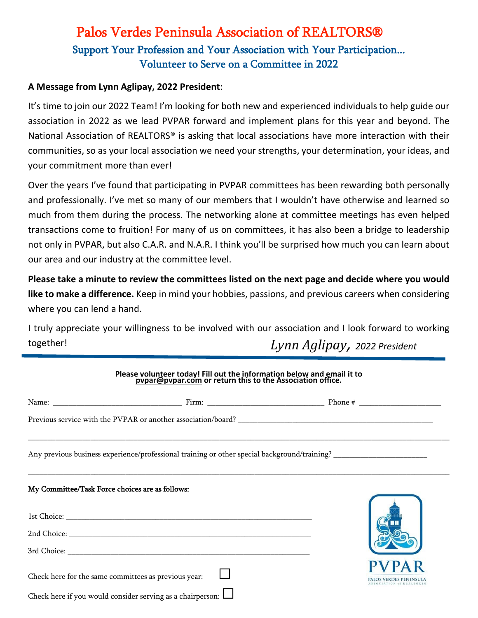## Support Your Profession and Your Association with Your Participation... Volunteer to Serve on a Committee in 2022 Palos Verdes Peninsula Association of REALTORS®

## **A Message from Lynn Aglipay, 2022 President**:

It's time to join our 2022 Team! I'm looking for both new and experienced individuals to help guide our association in 2022 as we lead PVPAR forward and implement plans for this year and beyond. The National Association of REALTORS<sup>®</sup> is asking that local associations have more interaction with their communities, so as your local association we need your strengths, your determination, your ideas, and your commitment more than ever!

Over the years I've found that participating in PVPAR committees has been rewarding both personally and professionally. I've met so many of our members that I wouldn't have otherwise and learned so much from them during the process. The networking alone at committee meetings has even helped transactions come to fruition! For many of us on committees, it has also been a bridge to leadership not only in PVPAR, but also C.A.R. and N.A.R. I think you'll be surprised how much you can learn about our area and our industry at the committee level.

**Please take a minute to review the committees listed on the next page and decide where you would like to make a difference.** Keep in mind your hobbies, passions, and previous careers when considering where you can lend a hand.

I truly appreciate your willingness to be involved with our association and I look forward to working together! *Lynn Aglipay, 2022 President*

| Please volunteer today! Fill out the information below and email it to<br>pupar@pvpar.com or return this to the Association office. |                                                                   |  |
|-------------------------------------------------------------------------------------------------------------------------------------|-------------------------------------------------------------------|--|
|                                                                                                                                     |                                                                   |  |
|                                                                                                                                     |                                                                   |  |
|                                                                                                                                     |                                                                   |  |
| My Committee/Task Force choices are as follows:                                                                                     |                                                                   |  |
|                                                                                                                                     |                                                                   |  |
|                                                                                                                                     |                                                                   |  |
|                                                                                                                                     |                                                                   |  |
| Check here for the same committees as previous year:                                                                                |                                                                   |  |
|                                                                                                                                     | Check here if you would consider serving as a chairperson: $\Box$ |  |